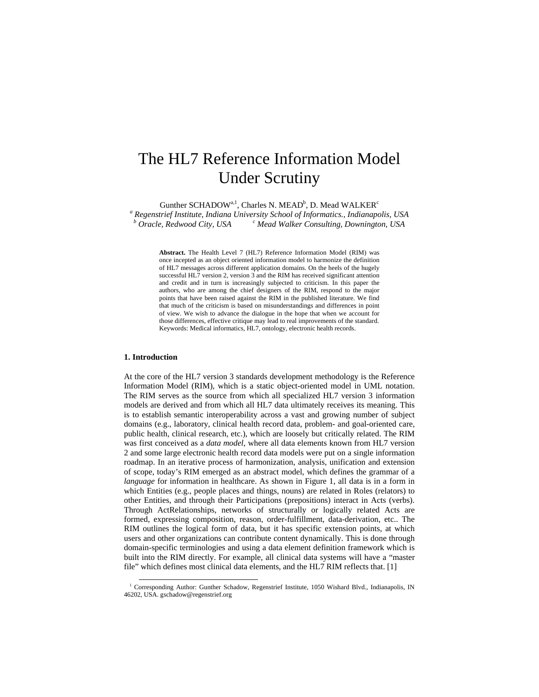# The HL7 Reference Information Model Under Scrutiny

Gunther SCHADOW<sup>a,1</sup>, Charles N. MEAD<sup>b</sup>, D. Mead WALKER<sup>c</sup>

*a Regenstrief Institute, Indiana University School of Informatics., Indianapolis, USA b Oracle, Redwood City, USA <sup>c</sup> Mead Walker Consulting, Downington, USA* 

**Abstract.** The Health Level 7 (HL7) Reference Information Model (RIM) was once incepted as an object oriented information model to harmonize the definition of HL7 messages across different application domains. On the heels of the hugely successful HL7 version 2, version 3 and the RIM has received significant attention and credit and in turn is increasingly subjected to criticism. In this paper the authors, who are among the chief designers of the RIM, respond to the major points that have been raised against the RIM in the published literature. We find that much of the criticism is based on misunderstandings and differences in point of view. We wish to advance the dialogue in the hope that when we account for those differences, effective critique may lead to real improvements of the standard. Keywords: Medical informatics, HL7, ontology, electronic health records.

#### **1. Introduction**

At the core of the HL7 version 3 standards development methodology is the Reference Information Model (RIM), which is a static object-oriented model in UML notation. The RIM serves as the source from which all specialized HL7 version 3 information models are derived and from which all HL7 data ultimately receives its meaning. This is to establish semantic interoperability across a vast and growing number of subject domains (e.g., laboratory, clinical health record data, problem- and goal-oriented care, public health, clinical research, etc.), which are loosely but critically related. The RIM was first conceived as a *data model*, where all data elements known from HL7 version 2 and some large electronic health record data models were put on a single information roadmap. In an iterative process of harmonization, analysis, unification and extension of scope, today's RIM emerged as an abstract model, which defines the grammar of a *language* for information in healthcare. As shown in Figure 1, all data is in a form in which Entities (e.g., people places and things, nouns) are related in Roles (relators) to other Entities, and through their Participations (prepositions) interact in Acts (verbs). Through ActRelationships, networks of structurally or logically related Acts are formed, expressing composition, reason, order-fulfillment, data-derivation, etc.. The RIM outlines the logical form of data, but it has specific extension points, at which users and other organizations can contribute content dynamically. This is done through domain-specific terminologies and using a data element definition framework which is built into the RIM directly. For example, all clinical data systems will have a "master file" which defines most clinical data elements, and the HL7 RIM reflects that. [1]

<sup>1&</sup>lt;br>
<sup>1</sup> Corresponding Author: Gunther Schadow, Regenstrief Institute, 1050 Wishard Blvd., Indianapolis, IN 46202, USA. gschadow@regenstrief.org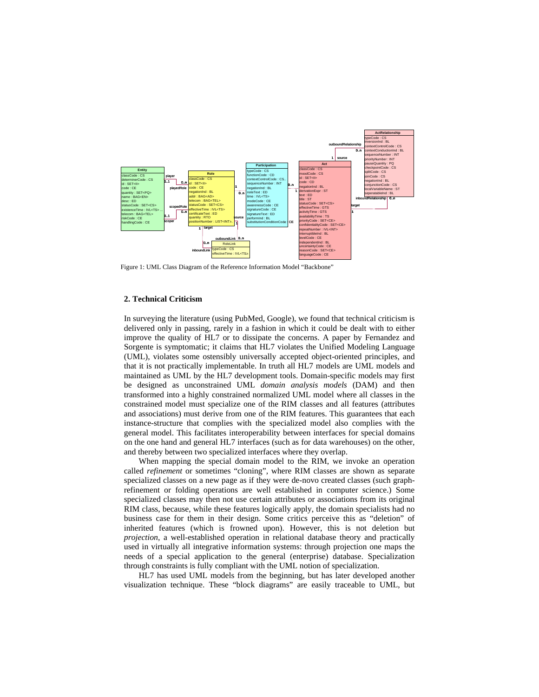

Figure 1: UML Class Diagram of the Reference Information Model "Backbone"

# **2. Technical Criticism**

In surveying the literature (using PubMed, Google), we found that technical criticism is delivered only in passing, rarely in a fashion in which it could be dealt with to either improve the quality of HL7 or to dissipate the concerns. A paper by Fernandez and Sorgente is symptomatic; it claims that HL7 violates the Unified Modeling Language (UML), violates some ostensibly universally accepted object-oriented principles, and that it is not practically implementable. In truth all HL7 models are UML models and maintained as UML by the HL7 development tools. Domain-specific models may first be designed as unconstrained UML *domain analysis models* (DAM) and then transformed into a highly constrained normalized UML model where all classes in the constrained model must specialize one of the RIM classes and all features (attributes and associations) must derive from one of the RIM features. This guarantees that each instance-structure that complies with the specialized model also complies with the general model. This facilitates interoperability between interfaces for special domains on the one hand and general HL7 interfaces (such as for data warehouses) on the other, and thereby between two specialized interfaces where they overlap.

When mapping the special domain model to the RIM, we invoke an operation called *refinement* or sometimes "cloning", where RIM classes are shown as separate specialized classes on a new page as if they were de-novo created classes (such graphrefinement or folding operations are well established in computer science.) Some specialized classes may then not use certain attributes or associations from its original RIM class, because, while these features logically apply, the domain specialists had no business case for them in their design. Some critics perceive this as "deletion" of inherited features (which is frowned upon). However, this is not deletion but *projection*, a well-established operation in relational database theory and practically used in virtually all integrative information systems: through projection one maps the needs of a special application to the general (enterprise) database. Specialization through constraints is fully compliant with the UML notion of specialization.

HL7 has used UML models from the beginning, but has later developed another visualization technique. These "block diagrams" are easily traceable to UML, but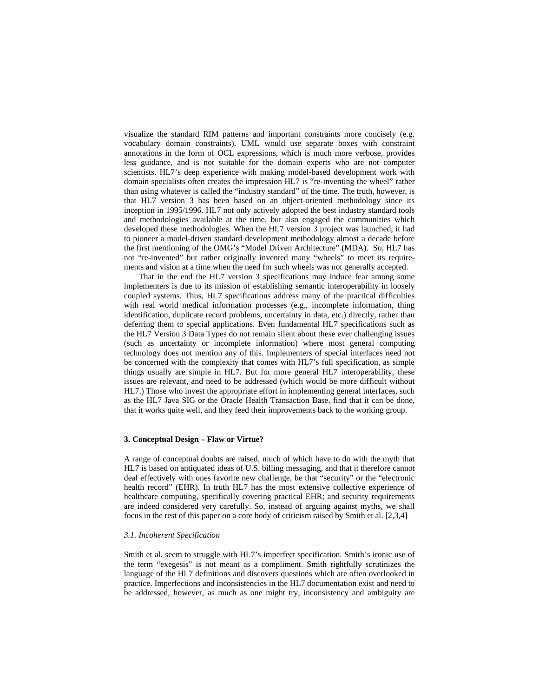visualize the standard RIM patterns and important constraints more concisely (e.g. vocabulary domain constraints). UML would use separate boxes with constraint annotations in the form of OCL expressions, which is much more verbose, provides less guidance, and is not suitable for the domain experts who are not computer scientists. HL7's deep experience with making model-based development work with domain specialists often creates the impression HL7 is "re-inventing the wheel" rather than using whatever is called the "industry standard" of the time. The truth, however, is that HL7 version 3 has been based on an object-oriented methodology since its inception in 1995/1996. HL7 not only actively adopted the best industry standard tools and methodologies available at the time, but also engaged the communities which developed these methodologies. When the HL7 version 3 project was launched, it had to pioneer a model-driven standard development methodology almost a decade before the first mentioning of the OMG's "Model Driven Architecture" (MDA). So, HL7 has not "re-invented" but rather originally invented many "wheels" to meet its requirements and vision at a time when the need for such wheels was not generally accepted.

That in the end the HL7 version 3 specifications may induce fear among some implementers is due to its mission of establishing semantic interoperability in loosely coupled systems. Thus, HL7 specifications address many of the practical difficulties with real world medical information processes (e.g., incomplete information, thing identification, duplicate record problems, uncertainty in data, etc.) directly, rather than deferring them to special applications. Even fundamental HL7 specifications such as the HL7 Version 3 Data Types do not remain silent about these ever challenging issues (such as uncertainty or incomplete information) where most general computing technology does not mention any of this. Implementers of special interfaces need not be concerned with the complexity that comes with HL7's full specification, as simple things usually are simple in HL7. But for more general HL7 interoperability, these issues are relevant, and need to be addressed (which would be more difficult without HL7.) Those who invest the appropriate effort in implementing general interfaces, such as the HL7 Java SIG or the Oracle Health Transaction Base, find that it can be done, that it works quite well, and they feed their improvements back to the working group.

# **3. Conceptual Design – Flaw or Virtue?**

A range of conceptual doubts are raised, much of which have to do with the myth that HL7 is based on antiquated ideas of U.S. billing messaging, and that it therefore cannot deal effectively with ones favorite new challenge, be that "security" or the "electronic health record" (EHR). In truth HL7 has the most extensive collective experience of healthcare computing, specifically covering practical EHR; and security requirements are indeed considered very carefully. So, instead of arguing against myths, we shall focus in the rest of this paper on a core body of criticism raised by Smith et al. [2,3,4]

#### *3.1. Incoherent Specification*

Smith et al. seem to struggle with HL7's imperfect specification. Smith's ironic use of the term "exegesis" is not meant as a compliment. Smith rightfully scrutinizes the language of the HL7 definitions and discovers questions which are often overlooked in practice. Imperfections and inconsistencies in the HL7 documentation exist and need to be addressed, however, as much as one might try, inconsistency and ambiguity are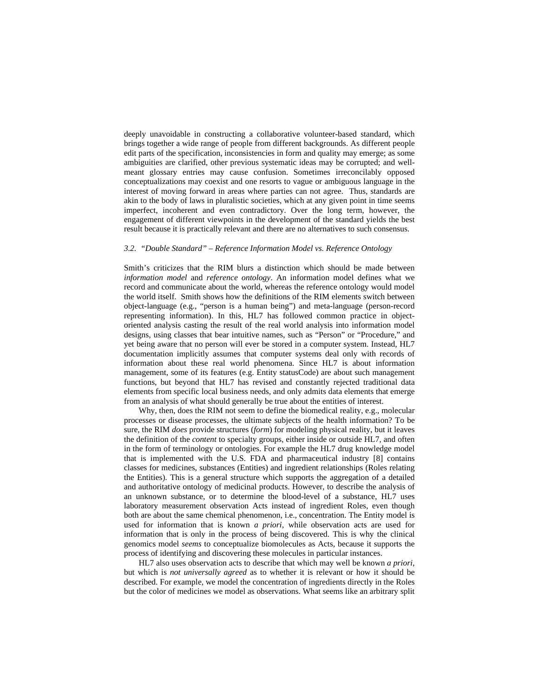deeply unavoidable in constructing a collaborative volunteer-based standard, which brings together a wide range of people from different backgrounds. As different people edit parts of the specification, inconsistencies in form and quality may emerge; as some ambiguities are clarified, other previous systematic ideas may be corrupted; and wellmeant glossary entries may cause confusion. Sometimes irreconcilably opposed conceptualizations may coexist and one resorts to vague or ambiguous language in the interest of moving forward in areas where parties can not agree. Thus, standards are akin to the body of laws in pluralistic societies, which at any given point in time seems imperfect, incoherent and even contradictory. Over the long term, however, the engagement of different viewpoints in the development of the standard yields the best result because it is practically relevant and there are no alternatives to such consensus.

## *3.2. "Double Standard" – Reference Information Model vs. Reference Ontology*

Smith's criticizes that the RIM blurs a distinction which should be made between *information model* and *reference ontology*. An information model defines what we record and communicate about the world, whereas the reference ontology would model the world itself. Smith shows how the definitions of the RIM elements switch between object-language (e.g., "person is a human being") and meta-language (person-record representing information). In this, HL7 has followed common practice in objectoriented analysis casting the result of the real world analysis into information model designs, using classes that bear intuitive names, such as "Person" or "Procedure," and yet being aware that no person will ever be stored in a computer system. Instead, HL7 documentation implicitly assumes that computer systems deal only with records of information about these real world phenomena. Since HL7 is about information management, some of its features (e.g. Entity statusCode) are about such management functions, but beyond that HL7 has revised and constantly rejected traditional data elements from specific local business needs, and only admits data elements that emerge from an analysis of what should generally be true about the entities of interest.

Why, then, does the RIM not seem to define the biomedical reality, e.g., molecular processes or disease processes, the ultimate subjects of the health information? To be sure, the RIM *does* provide structures (*form*) for modeling physical reality, but it leaves the definition of the *content* to specialty groups, either inside or outside HL7, and often in the form of terminology or ontologies. For example the HL7 drug knowledge model that is implemented with the U.S. FDA and pharmaceutical industry [8] contains classes for medicines, substances (Entities) and ingredient relationships (Roles relating the Entities). This is a general structure which supports the aggregation of a detailed and authoritative ontology of medicinal products. However, to describe the analysis of an unknown substance, or to determine the blood-level of a substance, HL7 uses laboratory measurement observation Acts instead of ingredient Roles, even though both are about the same chemical phenomenon, i.e., concentration. The Entity model is used for information that is known *a priori*, while observation acts are used for information that is only in the process of being discovered. This is why the clinical genomics model *seems* to conceptualize biomolecules as Acts, because it supports the process of identifying and discovering these molecules in particular instances.

HL7 also uses observation acts to describe that which may well be known *a priori*, but which is *not universally agreed* as to whether it is relevant or how it should be described. For example, we model the concentration of ingredients directly in the Roles but the color of medicines we model as observations. What seems like an arbitrary split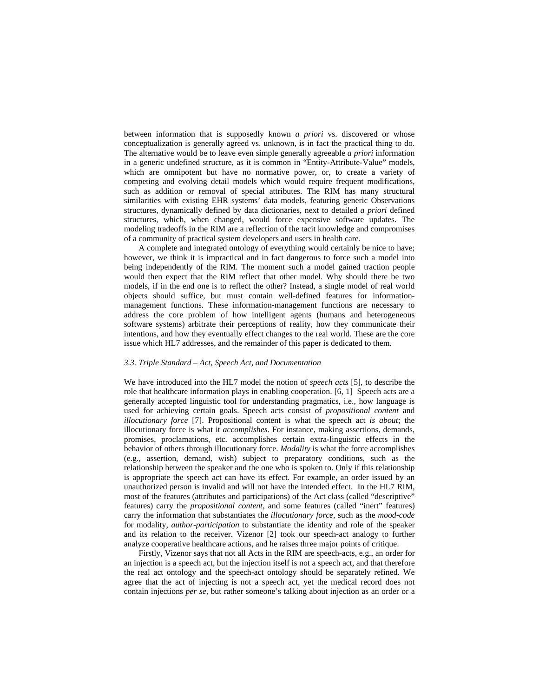between information that is supposedly known *a priori* vs. discovered or whose conceptualization is generally agreed vs. unknown, is in fact the practical thing to do. The alternative would be to leave even simple generally agreeable *a priori* information in a generic undefined structure, as it is common in "Entity-Attribute-Value" models, which are omnipotent but have no normative power, or, to create a variety of competing and evolving detail models which would require frequent modifications, such as addition or removal of special attributes. The RIM has many structural similarities with existing EHR systems' data models, featuring generic Observations structures, dynamically defined by data dictionaries, next to detailed *a priori* defined structures, which, when changed, would force expensive software updates. The modeling tradeoffs in the RIM are a reflection of the tacit knowledge and compromises of a community of practical system developers and users in health care.

A complete and integrated ontology of everything would certainly be nice to have; however, we think it is impractical and in fact dangerous to force such a model into being independently of the RIM. The moment such a model gained traction people would then expect that the RIM reflect that other model. Why should there be two models, if in the end one is to reflect the other? Instead, a single model of real world objects should suffice, but must contain well-defined features for informationmanagement functions. These information-management functions are necessary to address the core problem of how intelligent agents (humans and heterogeneous software systems) arbitrate their perceptions of reality, how they communicate their intentions, and how they eventually effect changes to the real world. These are the core issue which HL7 addresses, and the remainder of this paper is dedicated to them.

## *3.3. Triple Standard – Act, Speech Act, and Documentation*

We have introduced into the HL7 model the notion of *speech acts* [5], to describe the role that healthcare information plays in enabling cooperation. [6, 1] Speech acts are a generally accepted linguistic tool for understanding pragmatics, i.e., how language is used for achieving certain goals. Speech acts consist of *propositional content* and *illocutionary force* [7]. Propositional content is what the speech act *is about*; the illocutionary force is what it *accomplishes*. For instance, making assertions, demands, promises, proclamations, etc. accomplishes certain extra-linguistic effects in the behavior of others through illocutionary force. *Modality* is what the force accomplishes (e.g., assertion, demand, wish) subject to preparatory conditions, such as the relationship between the speaker and the one who is spoken to. Only if this relationship is appropriate the speech act can have its effect. For example, an order issued by an unauthorized person is invalid and will not have the intended effect. In the HL7 RIM, most of the features (attributes and participations) of the Act class (called "descriptive" features) carry the *propositional content*, and some features (called "inert" features) carry the information that substantiates the *illocutionary force*, such as the *mood-code* for modality, *author-participation* to substantiate the identity and role of the speaker and its relation to the receiver. Vizenor [2] took our speech-act analogy to further analyze cooperative healthcare actions, and he raises three major points of critique.

Firstly, Vizenor says that not all Acts in the RIM are speech-acts, e.g., an order for an injection is a speech act, but the injection itself is not a speech act, and that therefore the real act ontology and the speech-act ontology should be separately refined. We agree that the act of injecting is not a speech act, yet the medical record does not contain injections *per se*, but rather someone's talking about injection as an order or a